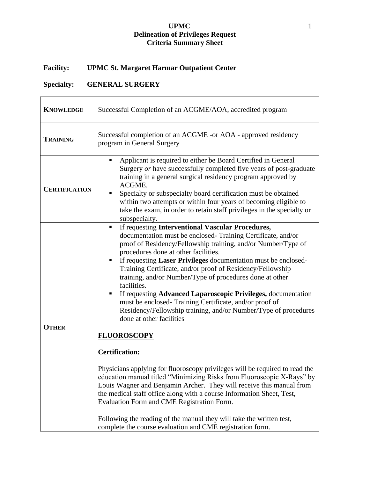## **UPMC** 1 **Delineation of Privileges Request Criteria Summary Sheet**

## **Facility: UPMC St. Margaret Harmar Outpatient Center**

## **Specialty: GENERAL SURGERY**

| <b>KNOWLEDGE</b>     | Successful Completion of an ACGME/AOA, accredited program                                                                                                                                                                                                                                                                                                                                                                                                                                                                                                                                                                                                                                        |
|----------------------|--------------------------------------------------------------------------------------------------------------------------------------------------------------------------------------------------------------------------------------------------------------------------------------------------------------------------------------------------------------------------------------------------------------------------------------------------------------------------------------------------------------------------------------------------------------------------------------------------------------------------------------------------------------------------------------------------|
| <b>TRAINING</b>      | Successful completion of an ACGME -or AOA - approved residency<br>program in General Surgery                                                                                                                                                                                                                                                                                                                                                                                                                                                                                                                                                                                                     |
| <b>CERTIFICATION</b> | Applicant is required to either be Board Certified in General<br>ш<br>Surgery or have successfully completed five years of post-graduate<br>training in a general surgical residency program approved by<br>ACGME.<br>Specialty or subspecialty board certification must be obtained<br>within two attempts or within four years of becoming eligible to<br>take the exam, in order to retain staff privileges in the specialty or<br>subspecialty.                                                                                                                                                                                                                                              |
| <b>OTHER</b>         | If requesting Interventional Vascular Procedures,<br>Ξ<br>documentation must be enclosed- Training Certificate, and/or<br>proof of Residency/Fellowship training, and/or Number/Type of<br>procedures done at other facilities.<br>If requesting Laser Privileges documentation must be enclosed-<br>п<br>Training Certificate, and/or proof of Residency/Fellowship<br>training, and/or Number/Type of procedures done at other<br>facilities.<br>If requesting Advanced Laparoscopic Privileges, documentation<br>must be enclosed- Training Certificate, and/or proof of<br>Residency/Fellowship training, and/or Number/Type of procedures<br>done at other facilities<br><b>FLUOROSCOPY</b> |
|                      | <b>Certification:</b><br>Physicians applying for fluoroscopy privileges will be required to read the<br>education manual titled "Minimizing Risks from Fluoroscopic X-Rays" by<br>Louis Wagner and Benjamin Archer. They will receive this manual from<br>the medical staff office along with a course Information Sheet, Test,<br>Evaluation Form and CME Registration Form.<br>Following the reading of the manual they will take the written test,<br>complete the course evaluation and CME registration form.                                                                                                                                                                               |